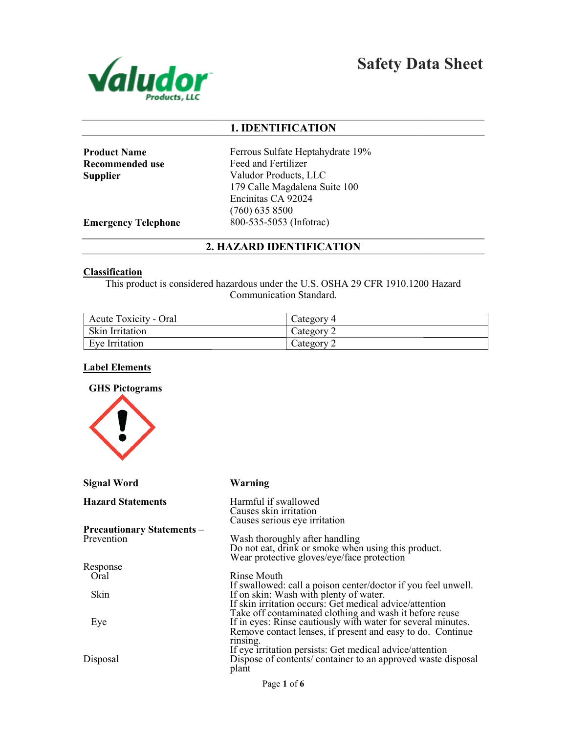

Safety Data Sheet

# 1. IDENTIFICATION

Product Name Recommended use **Supplier** 

Ferrous Sulfate Heptahydrate 19% Feed and Fertilizer Valudor Products, LLC 179 Calle Magdalena Suite 100 Encinitas CA 92024 (760) 635 8500 800-535-5053 (Infotrac)

Emergency Telephone

# 2. HAZARD IDENTIFICATION

#### **Classification**

This product is considered hazardous under the U.S. OSHA 29 CFR 1910.1200 Hazard Communication Standard.

| <b>Acute Toxicity - Oral</b> | Category 4 |
|------------------------------|------------|
| Skin Irritation              | Category 2 |
| Eve Irritation               | Category 2 |

## Label Elements



| <b>Signal Word</b>                | Warning                                                                                                                                                                               |
|-----------------------------------|---------------------------------------------------------------------------------------------------------------------------------------------------------------------------------------|
| <b>Hazard Statements</b>          | Harmful if swallowed<br>Causes skin irritation<br>Causes serious eye irritation                                                                                                       |
| <b>Precautionary Statements –</b> |                                                                                                                                                                                       |
| Prevention                        | Wash thoroughly after handling<br>Do not eat, drink or smoke when using this product.<br>Wear protective gloves/eye/face protection                                                   |
| Response                          |                                                                                                                                                                                       |
| Oral                              | Rinse Mouth                                                                                                                                                                           |
| <b>Skin</b>                       | If swallowed: call a poison center/doctor if you feel unwell.<br>If on skin: Wash with plenty of water.<br>If skin irritation occurs: Get medical advice/attention                    |
| Eye                               | Take off contaminated clothing and wash it before reuse<br>If in eyes: Rinse cautiously with water for several minutes.<br>Remove contact lenses, if present and easy to do. Continue |
| Disposal                          | rinsing.<br>If eye irritation persists: Get medical advice/attention<br>Dispose of contents/ container to an approved waste disposal<br>plant                                         |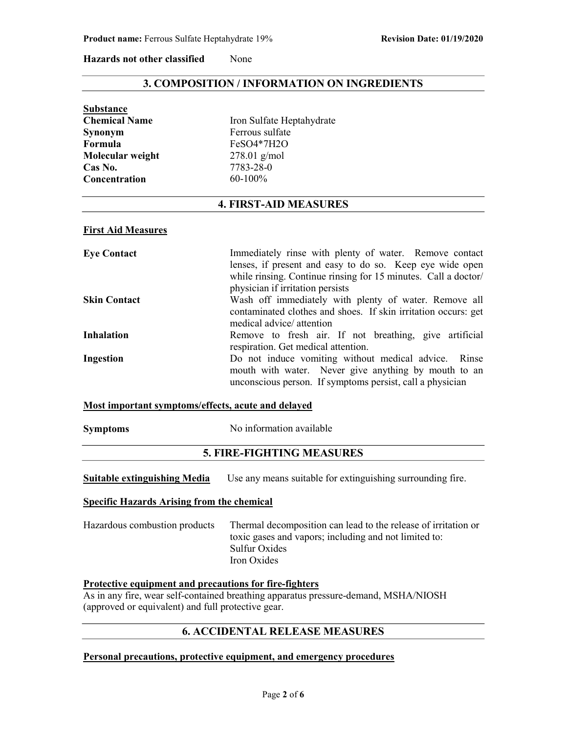#### Hazards not other classified None

# 3. COMPOSITION / INFORMATION ON INGREDIENTS

| Iron Sulfate Heptahydrate |
|---------------------------|
| Ferrous sulfate           |
| FeSO4*7H2O                |
| $278.01$ g/mol            |
| 7783-28-0                 |
| $60-100%$                 |
|                           |

# 4. FIRST-AID MEASURES

#### First Aid Measures

| <b>Eye Contact</b>  | Immediately rinse with plenty of water. Remove contact         |
|---------------------|----------------------------------------------------------------|
|                     | lenses, if present and easy to do so. Keep eye wide open       |
|                     | while rinsing. Continue rinsing for 15 minutes. Call a doctor/ |
|                     | physician if irritation persists                               |
| <b>Skin Contact</b> | Wash off immediately with plenty of water. Remove all          |
|                     | contaminated clothes and shoes. If skin irritation occurs: get |
|                     | medical advice/ attention                                      |
| <b>Inhalation</b>   | Remove to fresh air. If not breathing, give artificial         |
|                     | respiration. Get medical attention.                            |
| Ingestion           | Do not induce vomiting without medical advice. Rinse           |
|                     | mouth with water. Never give anything by mouth to an           |
|                     | unconscious person. If symptoms persist, call a physician      |

#### Most important symptoms/effects, acute and delayed

| <b>Symptoms</b> |  |
|-----------------|--|
|                 |  |

Symptoms No information available

# 5. FIRE-FIGHTING MEASURES

| <b>Suitable extinguishing Media</b> | Use any means suitable for extinguishing surrounding fire. |  |  |
|-------------------------------------|------------------------------------------------------------|--|--|
|-------------------------------------|------------------------------------------------------------|--|--|

## Specific Hazards Arising from the chemical

| Hazardous combustion products | Thermal decomposition can lead to the release of irritation or |
|-------------------------------|----------------------------------------------------------------|
|                               | toxic gases and vapors; including and not limited to:          |
|                               | Sulfur Oxides                                                  |
|                               | Iron Oxides                                                    |

## Protective equipment and precautions for fire-fighters

As in any fire, wear self-contained breathing apparatus pressure-demand, MSHA/NIOSH (approved or equivalent) and full protective gear.

# 6. ACCIDENTAL RELEASE MEASURES

## Personal precautions, protective equipment, and emergency procedures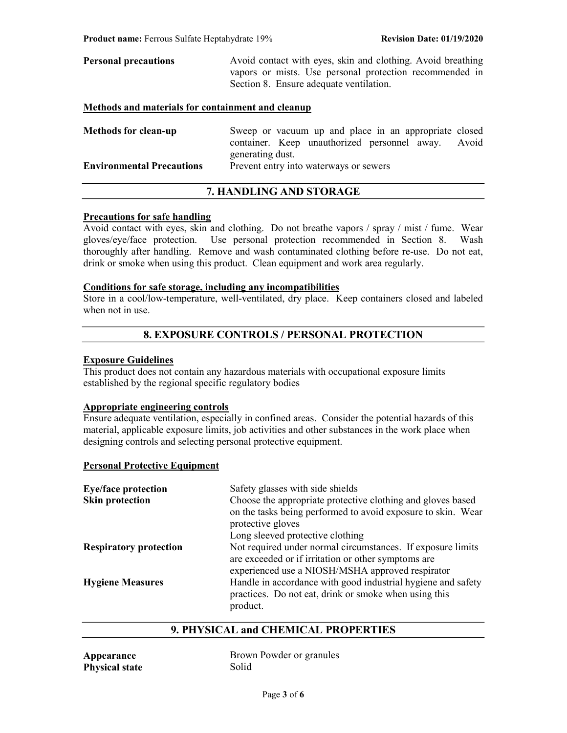| <b>Personal precautions</b> | Avoid contact with eyes, skin and clothing. Avoid breathing |  |  |
|-----------------------------|-------------------------------------------------------------|--|--|
|                             | vapors or mists. Use personal protection recommended in     |  |  |
|                             | Section 8. Ensure adequate ventilation.                     |  |  |
|                             |                                                             |  |  |

## Methods and materials for containment and cleanup

| <b>Methods for clean-up</b>      | Sweep or vacuum up and place in an appropriate closed |  |
|----------------------------------|-------------------------------------------------------|--|
|                                  | container. Keep unauthorized personnel away. Avoid    |  |
|                                  | generating dust.                                      |  |
| <b>Environmental Precautions</b> | Prevent entry into waterways or sewers                |  |

# 7. HANDLING AND STORAGE

## Precautions for safe handling

Avoid contact with eyes, skin and clothing. Do not breathe vapors / spray / mist / fume. Wear gloves/eye/face protection. Use personal protection recommended in Section 8. Wash thoroughly after handling. Remove and wash contaminated clothing before re-use. Do not eat, drink or smoke when using this product. Clean equipment and work area regularly.

## Conditions for safe storage, including any incompatibilities

Store in a cool/low-temperature, well-ventilated, dry place. Keep containers closed and labeled when not in use.

# 8. EXPOSURE CONTROLS / PERSONAL PROTECTION

# Exposure Guidelines

This product does not contain any hazardous materials with occupational exposure limits established by the regional specific regulatory bodies

# Appropriate engineering controls

Ensure adequate ventilation, especially in confined areas. Consider the potential hazards of this material, applicable exposure limits, job activities and other substances in the work place when designing controls and selecting personal protective equipment.

#### Personal Protective Equipment

| <b>Eye/face protection</b>    | Safety glasses with side shields                                                                                                                                       |
|-------------------------------|------------------------------------------------------------------------------------------------------------------------------------------------------------------------|
| <b>Skin protection</b>        | Choose the appropriate protective clothing and gloves based<br>on the tasks being performed to avoid exposure to skin. Wear<br>protective gloves                       |
|                               | Long sleeved protective clothing                                                                                                                                       |
| <b>Respiratory protection</b> | Not required under normal circumstances. If exposure limits<br>are exceeded or if irritation or other symptoms are<br>experienced use a NIOSH/MSHA approved respirator |
| <b>Hygiene Measures</b>       | Handle in accordance with good industrial hygiene and safety<br>practices. Do not eat, drink or smoke when using this<br>product.                                      |

# 9. PHYSICAL and CHEMICAL PROPERTIES

| Appearance            | Brown Powder or granules |
|-----------------------|--------------------------|
| <b>Physical state</b> | Solid                    |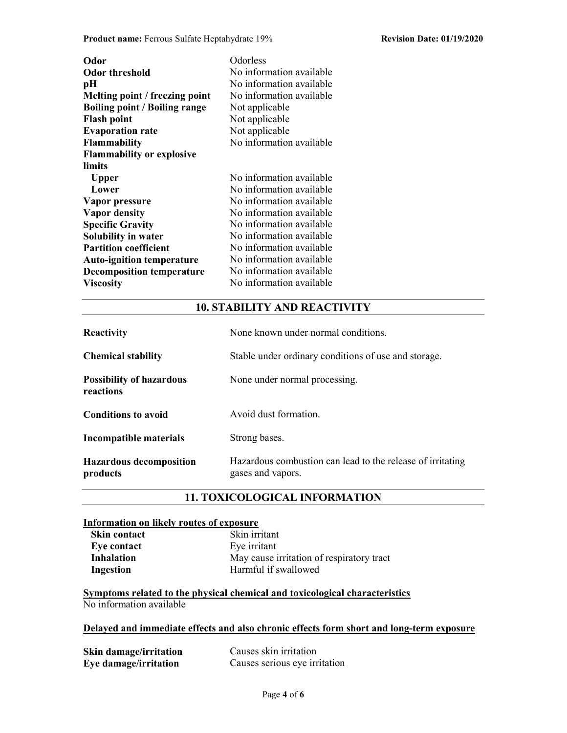Product name: Ferrous Sulfate Heptahydrate 19% Revision Date: 01/19/2020

| Odor<br><b>Odor threshold</b><br>pН<br>Melting point / freezing point<br><b>Boiling point / Boiling range</b><br><b>Flash point</b><br><b>Evaporation rate</b><br><b>Flammability</b><br><b>Flammability or explosive</b>           | Odorless<br>No information available<br>No information available<br>No information available<br>Not applicable<br>Not applicable<br>Not applicable<br>No information available                                                                           |
|-------------------------------------------------------------------------------------------------------------------------------------------------------------------------------------------------------------------------------------|----------------------------------------------------------------------------------------------------------------------------------------------------------------------------------------------------------------------------------------------------------|
| limits<br><b>Upper</b><br>Lower<br>Vapor pressure<br><b>Vapor density</b><br><b>Specific Gravity</b><br>Solubility in water<br><b>Partition coefficient</b><br><b>Auto-ignition temperature</b><br><b>Decomposition temperature</b> | No information available<br>No information available<br>No information available<br>No information available<br>No information available<br>No information available<br>No information available<br>No information available<br>No information available |
| <b>Viscosity</b>                                                                                                                                                                                                                    | No information available                                                                                                                                                                                                                                 |

# 10. STABILITY AND REACTIVITY

| <b>Reactivity</b>                            | None known under normal conditions.                                             |
|----------------------------------------------|---------------------------------------------------------------------------------|
| <b>Chemical stability</b>                    | Stable under ordinary conditions of use and storage.                            |
| <b>Possibility of hazardous</b><br>reactions | None under normal processing.                                                   |
| <b>Conditions to avoid</b>                   | Avoid dust formation.                                                           |
| Incompatible materials                       | Strong bases.                                                                   |
| <b>Hazardous decomposition</b><br>products   | Hazardous combustion can lead to the release of irritating<br>gases and vapors. |

# 11. TOXICOLOGICAL INFORMATION

#### Information on likely routes of exposure

| Skin contact      | Skin irritant |
|-------------------|---------------|
| Eye contact       | Eye irritant  |
| <b>Inhalation</b> | May cause ir  |
| Ingestion         | Harmful if sy |

| Skin irritant                             |
|-------------------------------------------|
| Eye irritant                              |
| May cause irritation of respiratory tract |
| Harmful if swallowed                      |
|                                           |

Symptoms related to the physical chemical and toxicological characteristics No information available

# Delayed and immediate effects and also chronic effects form short and long-term exposure

| Skin damage/irritation | Causes skin irritation        |  |
|------------------------|-------------------------------|--|
| Eye damage/irritation  | Causes serious eye irritation |  |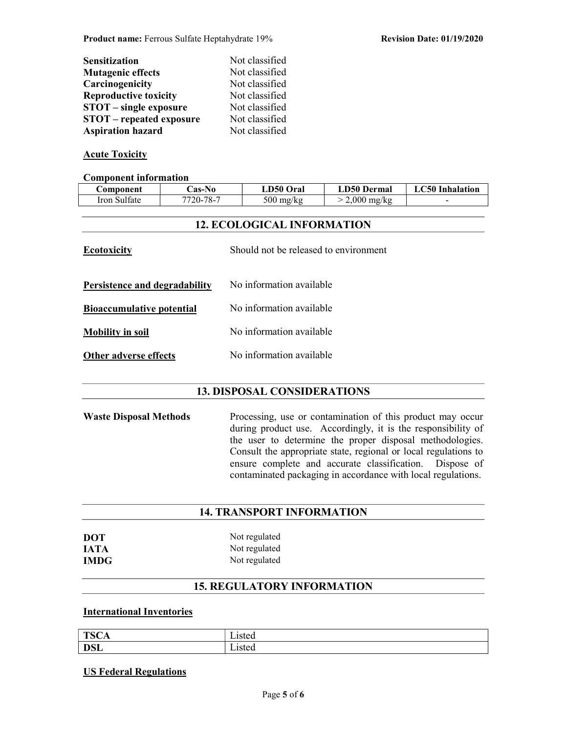| <b>Sensitization</b>            | Not classified |
|---------------------------------|----------------|
| <b>Mutagenic effects</b>        | Not classified |
| Carcinogenicity                 | Not classified |
| <b>Reproductive toxicity</b>    | Not classified |
| <b>STOT</b> – single exposure   | Not classified |
| <b>STOT</b> – repeated exposure | Not classified |
| <b>Aspiration hazard</b>        | Not classified |

# Acute Toxicity

#### Component information

| Component                                                 | Cas-No                                                   | LD50 Oral                | <b>LD50 Dermal</b> | <b>LC50</b> Inhalation |
|-----------------------------------------------------------|----------------------------------------------------------|--------------------------|--------------------|------------------------|
| Iron Sulfate                                              | 7720-78-7                                                | $500$ mg/kg              | $> 2,000$ mg/kg    |                        |
|                                                           |                                                          |                          |                    |                        |
| <b>12. ECOLOGICAL INFORMATION</b>                         |                                                          |                          |                    |                        |
| <b>Ecotoxicity</b>                                        | Should not be released to environment                    |                          |                    |                        |
| No information available<br>Persistence and degradability |                                                          |                          |                    |                        |
| <b>Bioaccumulative potential</b>                          |                                                          | No information available |                    |                        |
| <b>Mobility in soil</b>                                   |                                                          | No information available |                    |                        |
|                                                           | No information available<br><b>Other adverse effects</b> |                          |                    |                        |
|                                                           |                                                          |                          |                    |                        |

# 13. DISPOSAL CONSIDERATIONS

Waste Disposal Methods Processing, use or contamination of this product may occur during product use. Accordingly, it is the responsibility of the user to determine the proper disposal methodologies. Consult the appropriate state, regional or local regulations to ensure complete and accurate classification. Dispose of contaminated packaging in accordance with local regulations.

# 14. TRANSPORT INFORMATION

| DOT  |  |
|------|--|
| IATA |  |
| IMDG |  |

Not regulated Not regulated Not regulated

# 15. REGULATORY INFORMATION

# International Inventories

| <b>TO CO</b><br>. .<br>15'<br>◡▴ | 10126<br>ົາເບບ.    |
|----------------------------------|--------------------|
| <b>DSL</b>                       | 1012C<br>--- - - - |

## US Federal Regulations